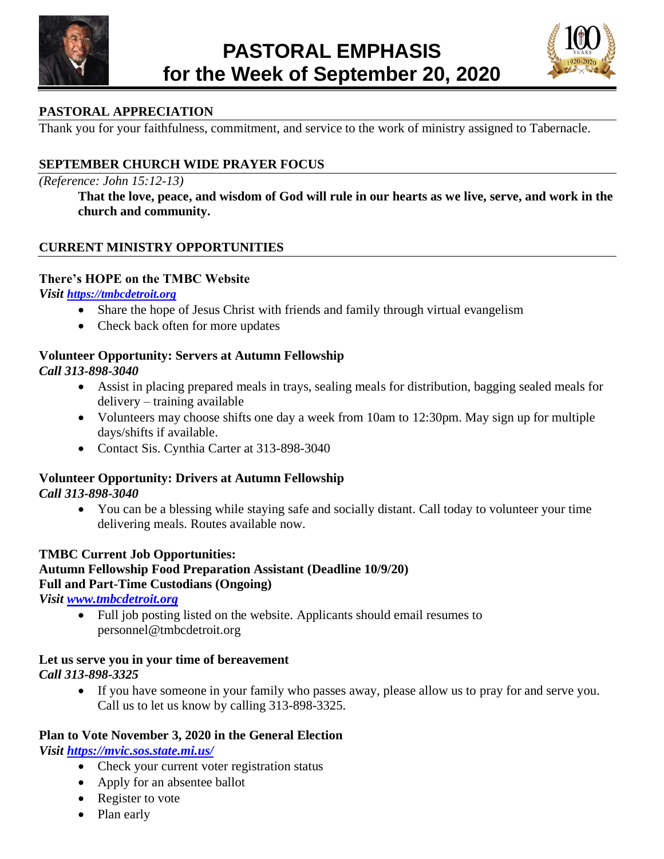



# **PASTORAL APPRECIATION**

Thank you for your faithfulness, commitment, and service to the work of ministry assigned to Tabernacle.

# **SEPTEMBER CHURCH WIDE PRAYER FOCUS**

#### *(Reference: John 15:12-13)*

**That the love, peace, and wisdom of God will rule in our hearts as we live, serve, and work in the church and community.**

### **CURRENT MINISTRY OPPORTUNITIES**

#### **There's HOPE on the TMBC Website**

*Visit [https://tmbcdetroit.org](https://tmbcdetroit.org/tmbcreopen)*

- Share the hope of Jesus Christ with friends and family through virtual evangelism
- Check back often for more updates

# **Volunteer Opportunity: Servers at Autumn Fellowship**

*Call 313-898-3040*

- Assist in placing prepared meals in trays, sealing meals for distribution, bagging sealed meals for delivery – training available
- Volunteers may choose shifts one day a week from 10am to 12:30pm. May sign up for multiple days/shifts if available.
- Contact Sis. Cynthia Carter at 313-898-3040

#### **Volunteer Opportunity: Drivers at Autumn Fellowship** *Call 313-898-3040*

• You can be a blessing while staying safe and socially distant. Call today to volunteer your time delivering meals. Routes available now.

#### **TMBC Current Job Opportunities: Autumn Fellowship Food Preparation Assistant (Deadline 10/9/20) Full and Part-Time Custodians (Ongoing)**

*Visit [www.tmbcdetroit.org](http://www.tmbcdetroit.org/)*

• Full job posting listed on the website. Applicants should email resumes to personnel@tmbcdetroit.org

### **Let us serve you in your time of bereavement** *Call 313-898-3325*

• If you have someone in your family who passes away, please allow us to pray for and serve you. Call us to let us know by calling 313-898-3325.

# **Plan to Vote November 3, 2020 in the General Election**

*Visit<https://mvic.sos.state.mi.us/>*

- Check your current voter registration status
- Apply for an absentee ballot
- Register to vote
- Plan early